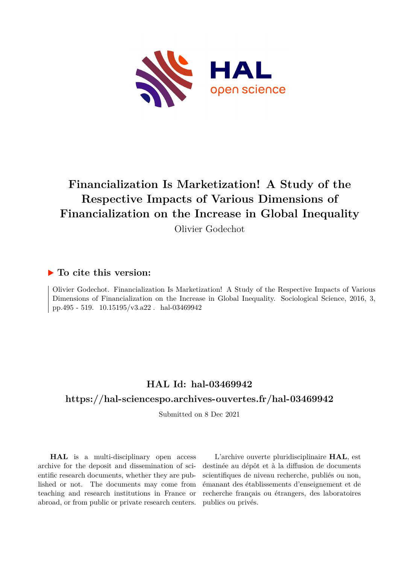

# **Financialization Is Marketization! A Study of the Respective Impacts of Various Dimensions of Financialization on the Increase in Global Inequality**

Olivier Godechot

## **To cite this version:**

Olivier Godechot. Financialization Is Marketization! A Study of the Respective Impacts of Various Dimensions of Financialization on the Increase in Global Inequality. Sociological Science, 2016, 3, pp.495 - 519.  $10.15195/v3.a22$ . hal-03469942

# **HAL Id: hal-03469942**

### **<https://hal-sciencespo.archives-ouvertes.fr/hal-03469942>**

Submitted on 8 Dec 2021

**HAL** is a multi-disciplinary open access archive for the deposit and dissemination of scientific research documents, whether they are published or not. The documents may come from teaching and research institutions in France or abroad, or from public or private research centers.

L'archive ouverte pluridisciplinaire **HAL**, est destinée au dépôt et à la diffusion de documents scientifiques de niveau recherche, publiés ou non, émanant des établissements d'enseignement et de recherche français ou étrangers, des laboratoires publics ou privés.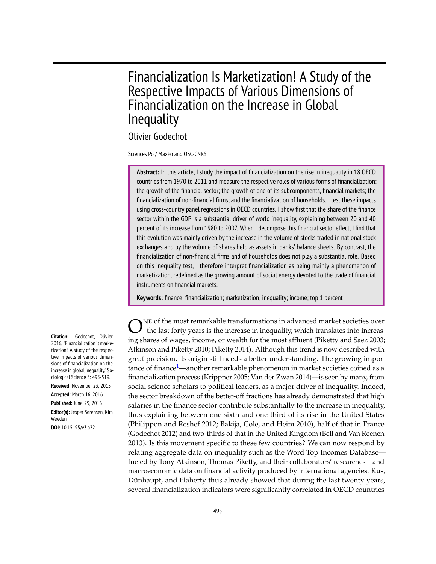# Financialization Is Marketization! A Study of the Respective Impacts of Various Dimensions of Financialization on the Increase in Global **Inequality**

Olivier Godechot

Sciences Po / MaxPo and OSC-CNRS

**Abstract:** In this article, I study the impact of financialization on the rise in inequality in 18 OECD countries from 1970 to 2011 and measure the respective roles of various forms of financialization: the growth of the financial sector; the growth of one of its subcomponents, financial markets; the financialization of non-financial firms; and the financialization of households. I test these impacts using cross-country panel regressions in OECD countries. I show first that the share of the finance sector within the GDP is a substantial driver of world inequality, explaining between 20 and 40 percent of its increase from 1980 to 2007. When I decompose this financial sector effect, I find that this evolution was mainly driven by the increase in the volume of stocks traded in national stock exchanges and by the volume of shares held as assets in banks' balance sheets. By contrast, the financialization of non-financial firms and of households does not play a substantial role. Based on this inequality test, I therefore interpret financialization as being mainly a phenomenon of marketization, redefined as the growing amount of social energy devoted to the trade of financial instruments on financial markets.

**Keywords:** finance; financialization; marketization; inequality; income; top 1 percent

O NE of the most remarkable transformations in advanced market societies over the last forty years is the increase in inequality, which translates into increasing shares of wages, income, or wealth for the most affluent (Piketty and Saez 2003; Atkinson and Piketty 2010; Piketty 2014). Although this trend is now described with great precision, its origin still needs a better understanding. The growing importance of finance<sup>1</sup>—another remarkable phenomenon in market societies coined as a financialization process (Krippner 2005; Van der Zwan 2014)—is seen by many, from social science scholars to political leaders, as a major driver of inequality. Indeed, the sector breakdown of the better-off fractions has already demonstrated that high salaries in the finance sector contribute substantially to the increase in inequality, thus explaining between one-sixth and one-third of its rise in the United States (Philippon and Reshef 2012; Bakija, Cole, and Heim 2010), half of that in France (Godechot 2012) and two-thirds of that in the United Kingdom (Bell and Van Reenen 2013). Is this movement specific to these few countries? We can now respond by relating aggregate data on inequality such as the Word Top Incomes Database fueled by Tony Atkinson, Thomas Piketty, and their collaborators' researches—and macroeconomic data on financial activity produced by international agencies. Kus, Dünhaupt, and Flaherty thus already showed that during the last twenty years, several financialization indicators were significantly correlated in OECD countries

**Citation:** Godechot, Olivier. 2016. "Financialization is marketization! A study of the respective impacts of various dimensions of financialization on the increase in global inequality." Sociological Science 3: 495-519. **Received:** November 23, 2015

**Accepted:** March 16, 2016

**Published:** June 29, 2016 **Editor(s):** Jesper Sørensen, Kim Weeden **DOI:** 10.15195/v3.a22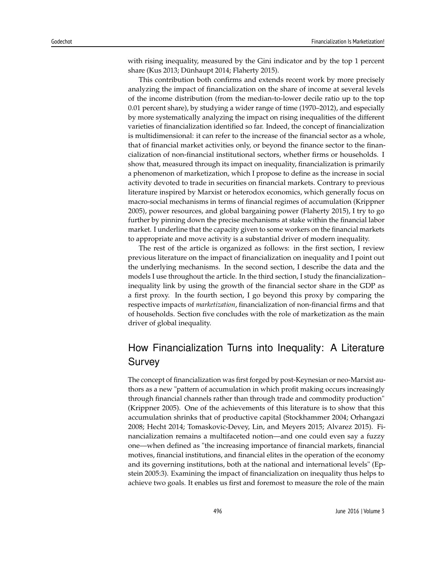with rising inequality, measured by the Gini indicator and by the top 1 percent share (Kus 2013; Dünhaupt 2014; Flaherty 2015).

This contribution both confirms and extends recent work by more precisely analyzing the impact of financialization on the share of income at several levels of the income distribution (from the median-to-lower decile ratio up to the top 0.01 percent share), by studying a wider range of time (1970–2012), and especially by more systematically analyzing the impact on rising inequalities of the different varieties of financialization identified so far. Indeed, the concept of financialization is multidimensional: it can refer to the increase of the financial sector as a whole, that of financial market activities only, or beyond the finance sector to the financialization of non-financial institutional sectors, whether firms or households. I show that, measured through its impact on inequality, financialization is primarily a phenomenon of marketization, which I propose to define as the increase in social activity devoted to trade in securities on financial markets. Contrary to previous literature inspired by Marxist or heterodox economics, which generally focus on macro-social mechanisms in terms of financial regimes of accumulation (Krippner 2005), power resources, and global bargaining power (Flaherty 2015), I try to go further by pinning down the precise mechanisms at stake within the financial labor market. I underline that the capacity given to some workers on the financial markets to appropriate and move activity is a substantial driver of modern inequality.

The rest of the article is organized as follows: in the first section, I review previous literature on the impact of financialization on inequality and I point out the underlying mechanisms. In the second section, I describe the data and the models I use throughout the article. In the third section, I study the financialization– inequality link by using the growth of the financial sector share in the GDP as a first proxy. In the fourth section, I go beyond this proxy by comparing the respective impacts of *marketization*, financialization of non-financial firms and that of households. Section five concludes with the role of marketization as the main driver of global inequality.

## How Financialization Turns into Inequality: A Literature Survey

The concept of financialization was first forged by post-Keynesian or neo-Marxist authors as a new "pattern of accumulation in which profit making occurs increasingly through financial channels rather than through trade and commodity production" (Krippner 2005). One of the achievements of this literature is to show that this accumulation shrinks that of productive capital (Stockhammer 2004; Orhangazi 2008; Hecht 2014; Tomaskovic-Devey, Lin, and Meyers 2015; Alvarez 2015). Financialization remains a multifaceted notion—and one could even say a fuzzy one—when defined as "the increasing importance of financial markets, financial motives, financial institutions, and financial elites in the operation of the economy and its governing institutions, both at the national and international levels" (Epstein 2005:3). Examining the impact of financialization on inequality thus helps to achieve two goals. It enables us first and foremost to measure the role of the main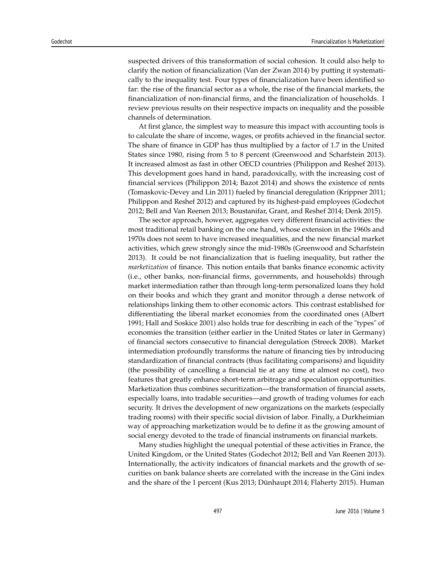suspected drivers of this transformation of social cohesion. It could also help to clarify the notion of financialization (Van der Zwan 2014) by putting it systematically to the inequality test. Four types of financialization have been identified so far: the rise of the financial sector as a whole, the rise of the financial markets, the financialization of non-financial firms, and the financialization of households. I review previous results on their respective impacts on inequality and the possible channels of determination.

At first glance, the simplest way to measure this impact with accounting tools is to calculate the share of income, wages, or profits achieved in the financial sector. The share of finance in GDP has thus multiplied by a factor of 1.7 in the United States since 1980, rising from 5 to 8 percent (Greenwood and Scharfstein 2013). It increased almost as fast in other OECD countries (Philippon and Reshef 2013). This development goes hand in hand, paradoxically, with the increasing cost of financial services (Philippon 2014; Bazot 2014) and shows the existence of rents (Tomaskovic-Devey and Lin 2011) fueled by financial deregulation (Krippner 2011; Philippon and Reshef 2012) and captured by its highest-paid employees (Godechot 2012; Bell and Van Reenen 2013; Boustanifar, Grant, and Reshef 2014; Denk 2015).

The sector approach, however, aggregates very different financial activities: the most traditional retail banking on the one hand, whose extension in the 1960s and 1970s does not seem to have increased inequalities, and the new financial market activities, which grew strongly since the mid-1980s (Greenwood and Scharfstein 2013). It could be not financialization that is fueling inequality, but rather the *marketization* of finance. This notion entails that banks finance economic activity (i.e., other banks, non-financial firms, governments, and households) through market intermediation rather than through long-term personalized loans they hold on their books and which they grant and monitor through a dense network of relationships linking them to other economic actors. This contrast established for differentiating the liberal market economies from the coordinated ones (Albert 1991; Hall and Soskice 2001) also holds true for describing in each of the "types" of economies the transition (either earlier in the United States or later in Germany) of financial sectors consecutive to financial deregulation (Streeck 2008). Market intermediation profoundly transforms the nature of financing ties by introducing standardization of financial contracts (thus facilitating comparisons) and liquidity (the possibility of cancelling a financial tie at any time at almost no cost), two features that greatly enhance short-term arbitrage and speculation opportunities. Marketization thus combines securitization—the transformation of financial assets, especially loans, into tradable securities—and growth of trading volumes for each security. It drives the development of new organizations on the markets (especially trading rooms) with their specific social division of labor. Finally, a Durkheimian way of approaching marketization would be to define it as the growing amount of social energy devoted to the trade of financial instruments on financial markets.

Many studies highlight the unequal potential of these activities in France, the United Kingdom, or the United States (Godechot 2012; Bell and Van Reenen 2013). Internationally, the activity indicators of financial markets and the growth of securities on bank balance sheets are correlated with the increase in the Gini index and the share of the 1 percent (Kus 2013; Dünhaupt 2014; Flaherty 2015). Human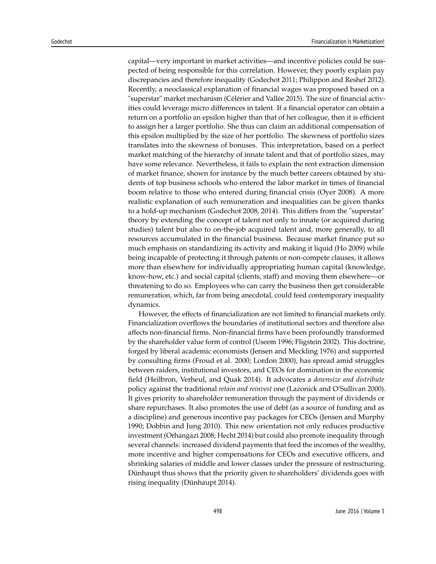capital—very important in market activities—and incentive policies could be suspected of being responsible for this correlation. However, they poorly explain pay discrepancies and therefore inequality (Godechot 2011; Philippon and Reshef 2012). Recently, a neoclassical explanation of financial wages was proposed based on a "superstar" market mechanism (Célérier and Vallée 2015). The size of financial activities could leverage micro differences in talent. If a financial operator can obtain a return on a portfolio an epsilon higher than that of her colleague, then it is efficient to assign her a larger portfolio. She thus can claim an additional compensation of this epsilon multiplied by the size of her portfolio. The skewness of portfolio sizes translates into the skewness of bonuses. This interpretation, based on a perfect market matching of the hierarchy of innate talent and that of portfolio sizes, may have some relevance. Nevertheless, it fails to explain the rent extraction dimension of market finance, shown for instance by the much better careers obtained by students of top business schools who entered the labor market in times of financial boom relative to those who entered during financial crisis (Oyer 2008). A more realistic explanation of such remuneration and inequalities can be given thanks to a hold-up mechanism (Godechot 2008, 2014). This differs from the "superstar" theory by extending the concept of talent not only to innate (or acquired during studies) talent but also to on-the-job acquired talent and, more generally, to all resources accumulated in the financial business. Because market finance put so much emphasis on standardizing its activity and making it liquid (Ho 2009) while being incapable of protecting it through patents or non-compete clauses, it allows more than elsewhere for individually appropriating human capital (knowledge, know-how, etc.) and social capital (clients, staff) and moving them elsewhere—or threatening to do so. Employees who can carry the business then get considerable remuneration, which, far from being anecdotal, could feed contemporary inequality dynamics.

However, the effects of financialization are not limited to financial markets only. Financialization overflows the boundaries of institutional sectors and therefore also affects non-financial firms. Non-financial firms have been profoundly transformed by the shareholder value form of control (Useem 1996; Fligstein 2002). This doctrine, forged by liberal academic economists (Jensen and Meckling 1976) and supported by consulting firms (Froud et al. 2000; Lordon 2000), has spread amid struggles between raiders, institutional investors, and CEOs for domination in the economic field (Heilbron, Verheul, and Quak 2014). It advocates a *downsize and distribute* policy against the traditional *retain and reinvest* one (Lazonick and O'Sullivan 2000). It gives priority to shareholder remuneration through the payment of dividends or share repurchases. It also promotes the use of debt (as a source of funding and as a discipline) and generous incentive pay packages for CEOs (Jensen and Murphy 1990; Dobbin and Jung 2010). This new orientation not only reduces productive investment (Orhangazi 2008; Hecht 2014) but could also promote inequality through several channels: increased dividend payments that feed the incomes of the wealthy, more incentive and higher compensations for CEOs and executive officers, and shrinking salaries of middle and lower classes under the pressure of restructuring. Dünhaupt thus shows that the priority given to shareholders' dividends goes with rising inequality (Dünhaupt 2014).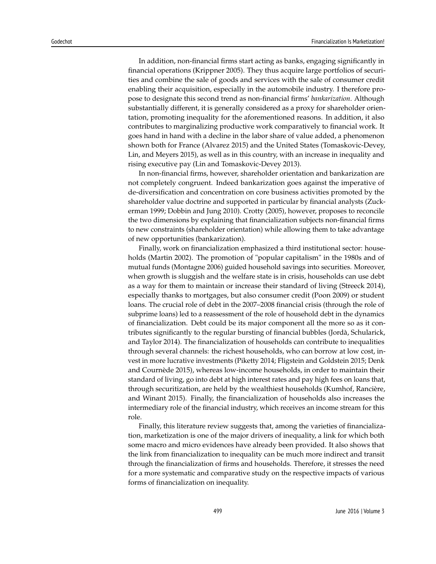In addition, non-financial firms start acting as banks, engaging significantly in financial operations (Krippner 2005). They thus acquire large portfolios of securities and combine the sale of goods and services with the sale of consumer credit enabling their acquisition, especially in the automobile industry. I therefore propose to designate this second trend as non-financial firms' *bankarization*. Although substantially different, it is generally considered as a proxy for shareholder orientation, promoting inequality for the aforementioned reasons. In addition, it also contributes to marginalizing productive work comparatively to financial work. It goes hand in hand with a decline in the labor share of value added, a phenomenon shown both for France (Alvarez 2015) and the United States (Tomaskovic-Devey, Lin, and Meyers 2015), as well as in this country, with an increase in inequality and rising executive pay (Lin and Tomaskovic-Devey 2013).

In non-financial firms, however, shareholder orientation and bankarization are not completely congruent. Indeed bankarization goes against the imperative of de-diversification and concentration on core business activities promoted by the shareholder value doctrine and supported in particular by financial analysts (Zuckerman 1999; Dobbin and Jung 2010). Crotty (2005), however, proposes to reconcile the two dimensions by explaining that financialization subjects non-financial firms to new constraints (shareholder orientation) while allowing them to take advantage of new opportunities (bankarization).

Finally, work on financialization emphasized a third institutional sector: households (Martin 2002). The promotion of "popular capitalism" in the 1980s and of mutual funds (Montagne 2006) guided household savings into securities. Moreover, when growth is sluggish and the welfare state is in crisis, households can use debt as a way for them to maintain or increase their standard of living (Streeck 2014), especially thanks to mortgages, but also consumer credit (Poon 2009) or student loans. The crucial role of debt in the 2007–2008 financial crisis (through the role of subprime loans) led to a reassessment of the role of household debt in the dynamics of financialization. Debt could be its major component all the more so as it contributes significantly to the regular bursting of financial bubbles (Jordà, Schularick, and Taylor 2014). The financialization of households can contribute to inequalities through several channels: the richest households, who can borrow at low cost, invest in more lucrative investments (Piketty 2014; Fligstein and Goldstein 2015; Denk and Cournède 2015), whereas low-income households, in order to maintain their standard of living, go into debt at high interest rates and pay high fees on loans that, through securitization, are held by the wealthiest households (Kumhof, Rancière, and Winant 2015). Finally, the financialization of households also increases the intermediary role of the financial industry, which receives an income stream for this role.

Finally, this literature review suggests that, among the varieties of financialization, marketization is one of the major drivers of inequality, a link for which both some macro and micro evidences have already been provided. It also shows that the link from financialization to inequality can be much more indirect and transit through the financialization of firms and households. Therefore, it stresses the need for a more systematic and comparative study on the respective impacts of various forms of financialization on inequality.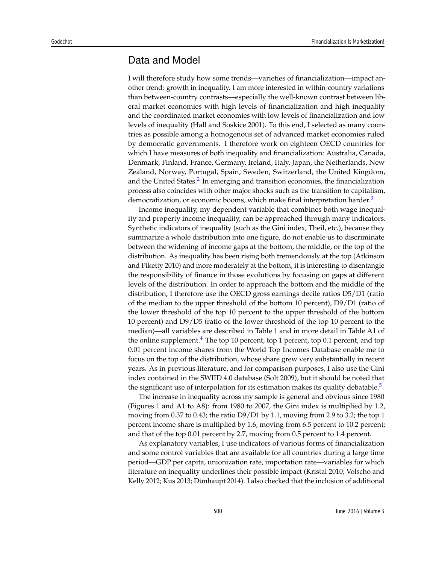#### Data and Model

I will therefore study how some trends—varieties of financialization—impact another trend: growth in inequality. I am more interested in within-country variations than between-country contrasts—especially the well-known contrast between liberal market economies with high levels of financialization and high inequality and the coordinated market economies with low levels of financialization and low levels of inequality (Hall and Soskice 2001). To this end, I selected as many countries as possible among a homogenous set of advanced market economies ruled by democratic governments. I therefore work on eighteen OECD countries for which I have measures of both inequality and financialization: Australia, Canada, Denmark, Finland, France, Germany, Ireland, Italy, Japan, the Netherlands, New Zealand, Norway, Portugal, Spain, Sweden, Switzerland, the United Kingdom, and the United States.<sup>2</sup> In emerging and transition economies, the financialization process also coincides with other major shocks such as the transition to capitalism, democratization, or economic booms, which make final interpretation harder.<sup>3</sup>

Income inequality, my dependent variable that combines both wage inequality and property income inequality, can be approached through many indicators. Synthetic indicators of inequality (such as the Gini index, Theil, etc.), because they summarize a whole distribution into one figure, do not enable us to discriminate between the widening of income gaps at the bottom, the middle, or the top of the distribution. As inequality has been rising both tremendously at the top (Atkinson and Piketty 2010) and more moderately at the bottom, it is interesting to disentangle the responsibility of finance in those evolutions by focusing on gaps at different levels of the distribution. In order to approach the bottom and the middle of the distribution, I therefore use the OECD gross earnings decile ratios D5/D1 (ratio of the median to the upper threshold of the bottom 10 percent), D9/D1 (ratio of the lower threshold of the top 10 percent to the upper threshold of the bottom 10 percent) and D9/D5 (ratio of the lower threshold of the top 10 percent to the median)—all variables are described in Table 1 and in more detail in Table A1 of the online supplement. $4$  The top 10 percent, top 1 percent, top 0.1 percent, and top 0.01 percent income shares from the World Top Incomes Database enable me to focus on the top of the distribution, whose share grew very substantially in recent years. As in previous literature, and for comparison purposes, I also use the Gini index contained in the SWIID 4.0 database (Solt 2009), but it should be noted that the significant use of interpolation for its estimation makes its quality debatable.<sup>5</sup>

The increase in inequality across my sample is general and obvious since 1980 (Figures 1 and A1 to A8): from 1980 to 2007, the Gini index is multiplied by 1.2, moving from 0.37 to 0.43; the ratio D9/D1 by 1.1, moving from 2.9 to 3.2; the top 1 percent income share is multiplied by 1.6, moving from 6.5 percent to 10.2 percent; and that of the top 0.01 percent by 2.7, moving from 0.5 percent to 1.4 percent.

As explanatory variables, I use indicators of various forms of financialization and some control variables that are available for all countries during a large time period—GDP per capita, unionization rate, importation rate—variables for which literature on inequality underlines their possible impact (Kristal 2010; Volscho and Kelly 2012; Kus 2013; Dünhaupt 2014). I also checked that the inclusion of additional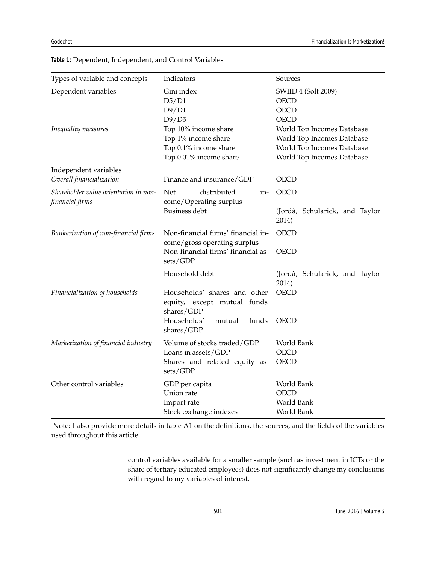| Types of variable and concepts                           | Indicators                                                                                                           | Sources                                                                                                                             |
|----------------------------------------------------------|----------------------------------------------------------------------------------------------------------------------|-------------------------------------------------------------------------------------------------------------------------------------|
| Dependent variables                                      | Gini index<br>D5/D1<br>D9/D1                                                                                         | SWIID 4 (Solt 2009)<br><b>OECD</b><br><b>OECD</b>                                                                                   |
| Inequality measures                                      | D9/D5<br>Top 10% income share<br>Top 1% income share<br>Top 0.1% income share<br>Top 0.01% income share              | <b>OECD</b><br>World Top Incomes Database<br>World Top Incomes Database<br>World Top Incomes Database<br>World Top Incomes Database |
| Independent variables<br>Overall financialization        | Finance and insurance/GDP                                                                                            | <b>OECD</b>                                                                                                                         |
| Shareholder value orientation in non-<br>financial firms | distributed<br>Net<br>in-<br>come/Operating surplus<br><b>Business debt</b>                                          | <b>OECD</b><br>(Jordà, Schularick, and Taylor<br>2014)                                                                              |
| Bankarization of non-financial firms                     | Non-financial firms' financial in-<br>come/gross operating surplus<br>Non-financial firms' financial as-<br>sets/GDP | <b>OECD</b><br><b>OECD</b>                                                                                                          |
| Financialization of households                           | Household debt<br>Households' shares and other<br>equity, except mutual funds<br>shares/GDP                          | (Jordà, Schularick, and Taylor<br>2014)<br><b>OECD</b>                                                                              |
|                                                          | Households'<br>mutual<br>funds<br>shares/GDP                                                                         | <b>OECD</b>                                                                                                                         |
| Marketization of financial industry                      | Volume of stocks traded/GDP<br>Loans in assets/GDP<br>Shares and related equity as-<br>sets/GDP                      | World Bank<br><b>OECD</b><br><b>OECD</b>                                                                                            |
| Other control variables                                  | GDP per capita<br>Union rate<br>Import rate<br>Stock exchange indexes                                                | World Bank<br><b>OECD</b><br>World Bank<br>World Bank                                                                               |

**Table 1:** Dependent, Independent, and Control Variables

Note: I also provide more details in table A1 on the definitions, the sources, and the fields of the variables used throughout this article.

> control variables available for a smaller sample (such as investment in ICTs or the share of tertiary educated employees) does not significantly change my conclusions with regard to my variables of interest.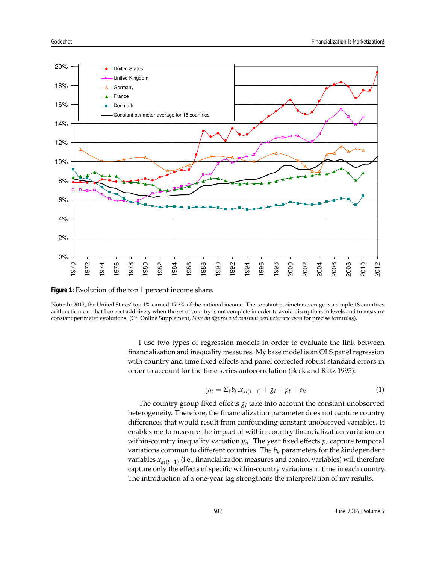

**Figure 1:** Evolution of the top 1 percent income share.

Note: In 2012, the United States' top 1% earned 19.3% of the national income. The constant perimeter average is a simple 18 countries arithmetic mean that I correct additively when the set of country is not complete in order to avoid disruptions in levels and to measure constant perimeter evolutions. (Cf. Online Supplement, *Note on figures and constant perimeter averages* for precise formulas).

> I use two types of regression models in order to evaluate the link between financialization and inequality measures. My base model is an OLS panel regression with country and time fixed effects and panel corrected robust standard errors in order to account for the time series autocorrelation (Beck and Katz 1995):

$$
y_{it} = \sum_{k} b_k . x_{ki(t-1)} + g_i + p_t + e_{it}
$$
\n<sup>(1)</sup>

The country group fixed effects  $g_i$  take into account the constant unobserved heterogeneity. Therefore, the financialization parameter does not capture country differences that would result from confounding constant unobserved variables. It enables me to measure the impact of within-country financialization variation on within-country inequality variation  $y_{it}$ . The year fixed effects  $p_t$  capture temporal variations common to different countries. The  $b_k$  parameters for the *k*independent variables *xki*(*t*−1) (i.e., financialization measures and control variables) will therefore capture only the effects of specific within-country variations in time in each country. The introduction of a one-year lag strengthens the interpretation of my results.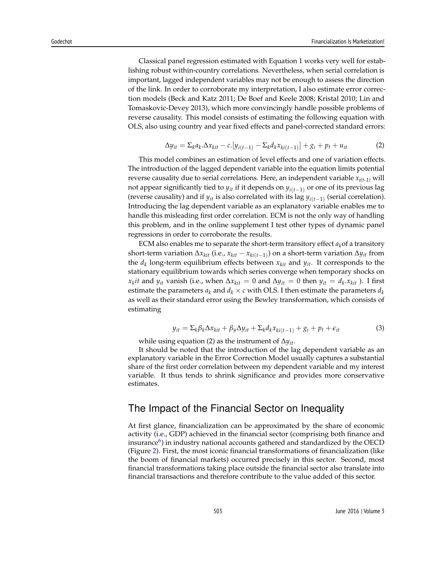Classical panel regression estimated with Equation 1 works very well for establishing robust within-country correlations. Nevertheless, when serial correlation is important, lagged independent variables may not be enough to assess the direction of the link. In order to corroborate my interpretation, I also estimate error correction models (Beck and Katz 2011; De Boef and Keele 2008; Kristal 2010; Lin and Tomaskovic-Devey 2013), which more convincingly handle possible problems of reverse causality. This model consists of estimating the following equation with OLS, also using country and year fixed effects and panel-corrected standard errors:

$$
\Delta y_{it} = \sum_{k} a_{k} \cdot \Delta x_{kit} - c \cdot [y_{i(t-1)} - \sum_{k} d_{k} x_{ki(t-1)}] + g_{i} + p_{t} + u_{it}
$$
(2)

This model combines an estimation of level effects and one of variation effects. The introduction of the lagged dependent variable into the equation limits potential reverse causality due to serial correlations. Here, an independent variable *xi(t-1)* will not appear significantly tied to  $y_{it}$  if it depends on  $y_{i(t-1)}$  or one of its previous lag (reverse causality) and if *yit* is also correlated with its lag *yi*(*t*−1) (serial correlation). Introducing the lag dependent variable as an explanatory variable enables me to handle this misleading first order correlation. ECM is not the only way of handling this problem, and in the online supplement I test other types of dynamic panel regressions in order to corroborate the results.

ECM also enables me to separate the short-term transitory effect  $a_k$  of a transitory short-term variation ∆*xkit* (i.e., *xkit* − *xki*(*t*−1) ) on a short-term variation ∆*yit* from the *d<sup>k</sup>* long-term equilibrium effects between *xkit* and *yit*. It corresponds to the stationary equilibrium towards which series converge when temporary shocks on  $x_k$ *it* and  $y_{it}$  vanish (i.e., when  $\Delta x_{kit} = 0$  and  $\Delta y_{it} = 0$  then  $y_{it} = d_k.x_{kit}$  ). I first estimate the parameters  $a_k$  and  $d_k \times c$  with OLS. I then estimate the parameters  $d_k$ as well as their standard error using the Bewley transformation, which consists of estimating

$$
y_{it} = \sum_{k} \beta_k \Delta x_{kit} + \beta_y \Delta y_{it} + \sum_{k} d_k x_{ki(t-1)} + g_i + p_t + \epsilon_{it}
$$
(3)

while using equation (2) as the instrument of ∆*yit*.

It should be noted that the introduction of the lag dependent variable as an explanatory variable in the Error Correction Model usually captures a substantial share of the first order correlation between my dependent variable and my interest variable. It thus tends to shrink significance and provides more conservative estimates.

#### The Impact of the Financial Sector on Inequality

At first glance, financialization can be approximated by the share of economic activity (i.e., GDP) achieved in the financial sector (comprising both finance and insurance $^6$ ) in industry national accounts gathered and standardized by the OECD (Figure 2). First, the most iconic financial transformations of financialization (like the boom of financial markets) occurred precisely in this sector. Second, most financial transformations taking place outside the financial sector also translate into financial transactions and therefore contribute to the value added of this sector.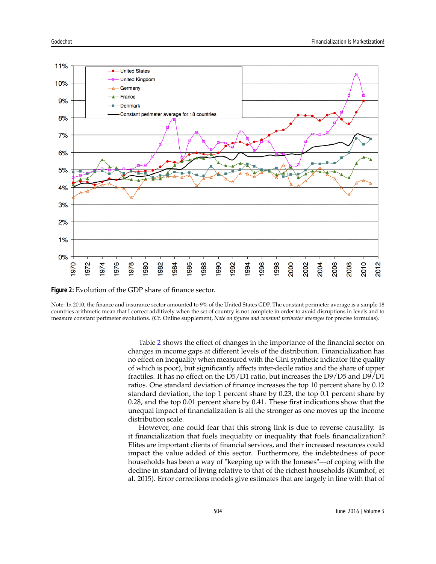

**Figure 2:** Evolution of the GDP share of finance sector.

Note: In 2010, the finance and insurance sector amounted to 9% of the United States GDP. The constant perimeter average is a simple 18 countries arithmetic mean that I correct additively when the set of country is not complete in order to avoid disruptions in levels and to measure constant perimeter evolutions. (Cf. Online supplement, *Note on figures and constant perimeter averages* for precise formulas).

> Table 2 shows the effect of changes in the importance of the financial sector on changes in income gaps at different levels of the distribution. Financialization has no effect on inequality when measured with the Gini synthetic indicator (the quality of which is poor), but significantly affects inter-decile ratios and the share of upper fractiles. It has no effect on the D5/D1 ratio, but increases the D9/D5 and D9/D1 ratios. One standard deviation of finance increases the top 10 percent share by 0.12 standard deviation, the top 1 percent share by 0.23, the top 0.1 percent share by 0.28, and the top 0.01 percent share by 0.41. These first indications show that the unequal impact of financialization is all the stronger as one moves up the income distribution scale.

> However, one could fear that this strong link is due to reverse causality. Is it financialization that fuels inequality or inequality that fuels financialization? Elites are important clients of financial services, and their increased resources could impact the value added of this sector. Furthermore, the indebtedness of poor households has been a way of "keeping up with the Joneses"—of coping with the decline in standard of living relative to that of the richest households (Kumhof, et al. 2015). Error corrections models give estimates that are largely in line with that of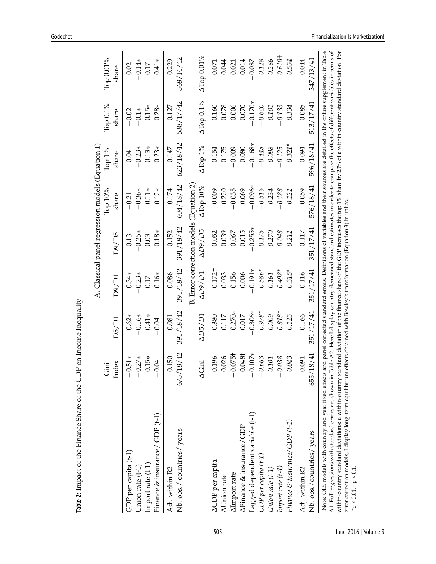|                                                                                                                                                                                                                                                                                                                                                                                                                                                                                                                                                                                                                                                                                                                                            |                       |                    |                    |                                         | A. Classical panel regression models (Equation 1) |                      |                    |                    |
|--------------------------------------------------------------------------------------------------------------------------------------------------------------------------------------------------------------------------------------------------------------------------------------------------------------------------------------------------------------------------------------------------------------------------------------------------------------------------------------------------------------------------------------------------------------------------------------------------------------------------------------------------------------------------------------------------------------------------------------------|-----------------------|--------------------|--------------------|-----------------------------------------|---------------------------------------------------|----------------------|--------------------|--------------------|
|                                                                                                                                                                                                                                                                                                                                                                                                                                                                                                                                                                                                                                                                                                                                            | Index<br>Gini         | D5/D1              | D9/D1              | D9/D5                                   | Тор 10%<br>share                                  | Top 1%<br>share      | Тор 0.1%<br>share  | Тор 0.01%<br>share |
| GDP per capita (t-1)                                                                                                                                                                                                                                                                                                                                                                                                                                                                                                                                                                                                                                                                                                                       | $.51*$<br>$\bigcap$   | $0.62*$            | $0.34*$            | 0.13                                    | $-0.21$                                           | $0.04\,$             | $-0.02$            | 0.02               |
| Union rate $(t-1)$                                                                                                                                                                                                                                                                                                                                                                                                                                                                                                                                                                                                                                                                                                                         | $.27*$                | $-0.16*$           | $-0.23*$           | $-0.25*$                                | $-0.36*$                                          | $-0.23*$             | $-0.1*$            | $-0.14*$           |
| Import rate (t-1)                                                                                                                                                                                                                                                                                                                                                                                                                                                                                                                                                                                                                                                                                                                          | $.15*$                | $0.41*$            | 0.17               | $-0.03$                                 | $-0.11*$                                          | $-0.13*$             | $-0.15*$           | $0.17$             |
| Finance & insurance/ GDP (t-1)                                                                                                                                                                                                                                                                                                                                                                                                                                                                                                                                                                                                                                                                                                             | <b>1.04</b>           | $-0.04$            | $0.16*$            | $0.18*$                                 | $0.12*$                                           | $0.23*$              | $0.28*$            | $0.41*$            |
| Nb. obs./ countries/ years<br>Adj. within R2                                                                                                                                                                                                                                                                                                                                                                                                                                                                                                                                                                                                                                                                                               | 18/42<br>150<br>673/1 | 391/18/42<br>0.081 | 391/18/42<br>0.086 | 391/18/42<br>0.152                      | 604/18/42<br>$0.174\,$                            | 623/18/42<br>$0.147$ | 538/17/42<br>0.127 | 368/14/42<br>0.229 |
|                                                                                                                                                                                                                                                                                                                                                                                                                                                                                                                                                                                                                                                                                                                                            |                       |                    |                    | B. Error correction models (Equation 2) |                                                   |                      |                    |                    |
|                                                                                                                                                                                                                                                                                                                                                                                                                                                                                                                                                                                                                                                                                                                                            | $\Delta$ Gini         | $\Delta DS/D1$     | $\Delta D9/D1$     | AD9/D5                                  | ATop 10%                                          | ATop 1%              | ATop 0.1%          | $\Delta$ Top 0.01% |
| AGDP per capita                                                                                                                                                                                                                                                                                                                                                                                                                                                                                                                                                                                                                                                                                                                            | 1.196<br>$\bigcap$    | 0.380              | 0.172 <sup>†</sup> | 0.052                                   | 0.009                                             | 0.154                | 0.160              | $-0.071$           |
| <b>AUnion</b> rate                                                                                                                                                                                                                                                                                                                                                                                                                                                                                                                                                                                                                                                                                                                         | 026                   | 0.117              | 0.033              | $-0.039$                                | $-0.220$                                          | $-0.175$             | $-0.078$           | 0.044              |
| AImport rate                                                                                                                                                                                                                                                                                                                                                                                                                                                                                                                                                                                                                                                                                                                               | $0.075+$<br>$\bigcap$ | $0.270*$           | 0.156              | 0.067                                   | $-0.035$                                          | $-0.009$             | 0.006              | 0.021              |
| AFinance & insurance/GDP                                                                                                                                                                                                                                                                                                                                                                                                                                                                                                                                                                                                                                                                                                                   | 1.048+<br>$\bigcap$   | 0.017              | 0.006              | $-0.015$                                | 0.069                                             | 0.080                | 0.070              | 0.014              |
| Lagged dependent variable (t-1)                                                                                                                                                                                                                                                                                                                                                                                                                                                                                                                                                                                                                                                                                                            | $0.107*$<br>$\bigcap$ | $-0.306*$          | $-0.191*$          | $-0.255*$                               | $-0.096*$                                         | $-0.168*$            | $-0.170*$          | $-0.087$           |
| $GDP$ per capita $(t-1)$                                                                                                                                                                                                                                                                                                                                                                                                                                                                                                                                                                                                                                                                                                                   | 1.663<br>$\bigcirc$   | $0.978*$           | $0.586*$           | 0.175                                   | $-0.516$                                          | $-0.448$             | $-0.640$           | 0.128              |
| Union rate $(t-1)$                                                                                                                                                                                                                                                                                                                                                                                                                                                                                                                                                                                                                                                                                                                         | 101<br>$\bigcirc$     | $-0.009$           | $-0.161$           | $-0.270$                                | $-0.234$                                          | $-0.098$             | $-0.101$           | $-0.266$           |
| $Import \ rate \ (t-1)$                                                                                                                                                                                                                                                                                                                                                                                                                                                                                                                                                                                                                                                                                                                    | 038.                  | $0.818*$           | $0.498*$           | 0.048                                   | $-0.188$                                          | $-0.125$             | $-0.133$           | 0.610+             |
| Finance & insurance/ GDP (t-1)                                                                                                                                                                                                                                                                                                                                                                                                                                                                                                                                                                                                                                                                                                             | .043                  | 0.125              | $0.315*$           | 0.212                                   | 0.122                                             | $0.321*$             | 0.334              | 0.554              |
| Adj. within R2                                                                                                                                                                                                                                                                                                                                                                                                                                                                                                                                                                                                                                                                                                                             | 1.091                 | 0.166              | 0.116              | 0.117                                   | 0.059                                             | 0.094                | 0.085              | 0.044              |
| Nb. obs./countries/years                                                                                                                                                                                                                                                                                                                                                                                                                                                                                                                                                                                                                                                                                                                   | 18/41<br>655/1        | 351/17/41          | 351/17/41          | 351/17/41                               | 576/18/41                                         | 596/18/41            | 513/17/41          | 347/13/41          |
| Note: OLS models with country and year fixed effects and panel corrected standard errors. Definitions of variables and their sources are detailed in the online supplement in Table<br>within-country standard deviations: a within-country standard deviation of the finance share of the GDP increases the top 1% share by 23% of a within-country standard deviation. For<br>A1. Full regressions with standard errors are shown in Table A2. Here I display country-demeaned standard estimates in order to compare the effects of different variables in terms of<br>error correction models, I display long-term equilibrium effects obtained with Bewley's transformation (Equation 3) in italics.<br>$*_{P}$ < 0.01, $+_{P}$ < 0.1 |                       |                    |                    |                                         |                                                   |                      |                    |                    |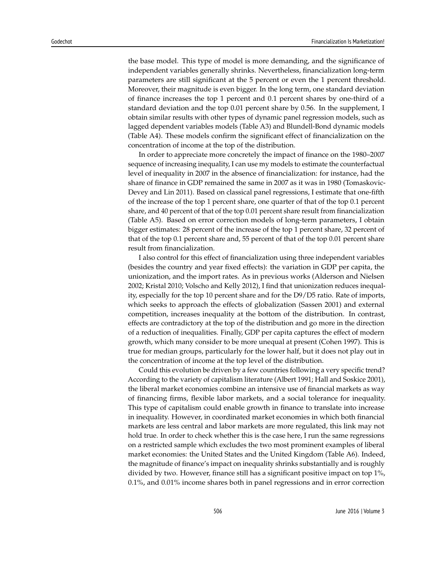the base model. This type of model is more demanding, and the significance of independent variables generally shrinks. Nevertheless, financialization long-term parameters are still significant at the 5 percent or even the 1 percent threshold. Moreover, their magnitude is even bigger. In the long term, one standard deviation of finance increases the top 1 percent and 0.1 percent shares by one-third of a standard deviation and the top 0.01 percent share by 0.56. In the supplement, I obtain similar results with other types of dynamic panel regression models, such as lagged dependent variables models (Table A3) and Blundell-Bond dynamic models (Table A4). These models confirm the significant effect of financialization on the concentration of income at the top of the distribution.

In order to appreciate more concretely the impact of finance on the 1980–2007 sequence of increasing inequality, I can use my models to estimate the counterfactual level of inequality in 2007 in the absence of financialization: for instance, had the share of finance in GDP remained the same in 2007 as it was in 1980 (Tomaskovic-Devey and Lin 2011). Based on classical panel regressions, I estimate that one-fifth of the increase of the top 1 percent share, one quarter of that of the top 0.1 percent share, and 40 percent of that of the top 0.01 percent share result from financialization (Table A5). Based on error correction models of long-term parameters, I obtain bigger estimates: 28 percent of the increase of the top 1 percent share, 32 percent of that of the top 0.1 percent share and, 55 percent of that of the top 0.01 percent share result from financialization.

I also control for this effect of financialization using three independent variables (besides the country and year fixed effects): the variation in GDP per capita, the unionization, and the import rates. As in previous works (Alderson and Nielsen 2002; Kristal 2010; Volscho and Kelly 2012), I find that unionization reduces inequality, especially for the top 10 percent share and for the D9/D5 ratio. Rate of imports, which seeks to approach the effects of globalization (Sassen 2001) and external competition, increases inequality at the bottom of the distribution. In contrast, effects are contradictory at the top of the distribution and go more in the direction of a reduction of inequalities. Finally, GDP per capita captures the effect of modern growth, which many consider to be more unequal at present (Cohen 1997). This is true for median groups, particularly for the lower half, but it does not play out in the concentration of income at the top level of the distribution.

Could this evolution be driven by a few countries following a very specific trend? According to the variety of capitalism literature (Albert 1991; Hall and Soskice 2001), the liberal market economies combine an intensive use of financial markets as way of financing firms, flexible labor markets, and a social tolerance for inequality. This type of capitalism could enable growth in finance to translate into increase in inequality. However, in coordinated market economies in which both financial markets are less central and labor markets are more regulated, this link may not hold true. In order to check whether this is the case here, I run the same regressions on a restricted sample which excludes the two most prominent examples of liberal market economies: the United States and the United Kingdom (Table A6). Indeed, the magnitude of finance's impact on inequality shrinks substantially and is roughly divided by two. However, finance still has a significant positive impact on top 1%, 0.1%, and 0.01% income shares both in panel regressions and in error correction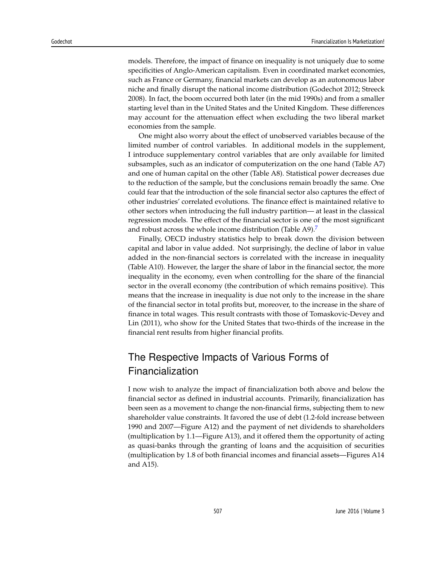models. Therefore, the impact of finance on inequality is not uniquely due to some specificities of Anglo-American capitalism. Even in coordinated market economies, such as France or Germany, financial markets can develop as an autonomous labor niche and finally disrupt the national income distribution (Godechot 2012; Streeck 2008). In fact, the boom occurred both later (in the mid 1990s) and from a smaller starting level than in the United States and the United Kingdom. These differences may account for the attenuation effect when excluding the two liberal market economies from the sample.

One might also worry about the effect of unobserved variables because of the limited number of control variables. In additional models in the supplement, I introduce supplementary control variables that are only available for limited subsamples, such as an indicator of computerization on the one hand (Table A7) and one of human capital on the other (Table A8). Statistical power decreases due to the reduction of the sample, but the conclusions remain broadly the same. One could fear that the introduction of the sole financial sector also captures the effect of other industries' correlated evolutions. The finance effect is maintained relative to other sectors when introducing the full industry partition— at least in the classical regression models. The effect of the financial sector is one of the most significant and robust across the whole income distribution (Table A9).<sup>7</sup>

Finally, OECD industry statistics help to break down the division between capital and labor in value added. Not surprisingly, the decline of labor in value added in the non-financial sectors is correlated with the increase in inequality (Table A10). However, the larger the share of labor in the financial sector, the more inequality in the economy, even when controlling for the share of the financial sector in the overall economy (the contribution of which remains positive). This means that the increase in inequality is due not only to the increase in the share of the financial sector in total profits but, moreover, to the increase in the share of finance in total wages. This result contrasts with those of Tomaskovic-Devey and Lin (2011), who show for the United States that two-thirds of the increase in the financial rent results from higher financial profits.

# The Respective Impacts of Various Forms of Financialization

I now wish to analyze the impact of financialization both above and below the financial sector as defined in industrial accounts. Primarily, financialization has been seen as a movement to change the non-financial firms, subjecting them to new shareholder value constraints. It favored the use of debt (1.2-fold increase between 1990 and 2007—Figure A12) and the payment of net dividends to shareholders (multiplication by 1.1—Figure A13), and it offered them the opportunity of acting as quasi-banks through the granting of loans and the acquisition of securities (multiplication by 1.8 of both financial incomes and financial assets—Figures A14 and A15).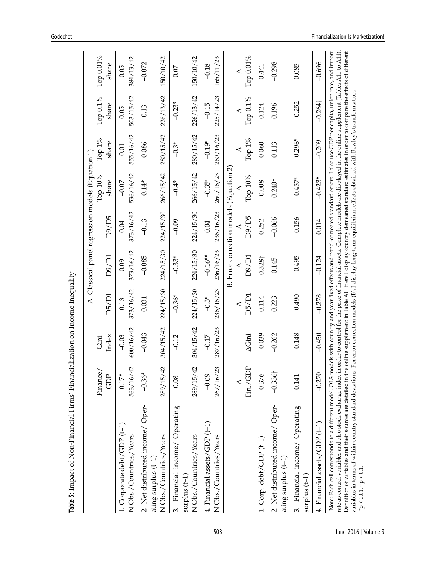|                                                                                                                                                                                                                                                                                                                                                                                                                                                                                                                                                                                                                                                                                   |                       |                       |                    |                       | A. Classical panel regression models (Equation 1) |                      |                    |                                                                                                                 |                       |
|-----------------------------------------------------------------------------------------------------------------------------------------------------------------------------------------------------------------------------------------------------------------------------------------------------------------------------------------------------------------------------------------------------------------------------------------------------------------------------------------------------------------------------------------------------------------------------------------------------------------------------------------------------------------------------------|-----------------------|-----------------------|--------------------|-----------------------|---------------------------------------------------|----------------------|--------------------|-----------------------------------------------------------------------------------------------------------------|-----------------------|
|                                                                                                                                                                                                                                                                                                                                                                                                                                                                                                                                                                                                                                                                                   | Finance<br>GDP        | Index<br>Gini         | D5/D1              | D9/D1                 | D9/D5                                             | Тор 10%<br>share     | Тор 1%<br>share    | Тор 0.1%<br>share                                                                                               | Тор 0.01%<br>share    |
| 1. Corporate debt/GDP (t-1)<br>N Obs./Countries/Years                                                                                                                                                                                                                                                                                                                                                                                                                                                                                                                                                                                                                             | $0.17*$               | 600/16/42<br>$-0.03$  | 373/16/42<br>0.13  | 373/16/42<br>0.09     | 0.04                                              | 536/16/42<br>$-0.07$ | 555/16/42<br>0.01  | 503/15/42<br>$0.05+$                                                                                            | 0.05                  |
|                                                                                                                                                                                                                                                                                                                                                                                                                                                                                                                                                                                                                                                                                   | 563/16/42             |                       |                    |                       | 373/16/42                                         |                      |                    |                                                                                                                 | 384/13/42             |
| 2. Net distributed income/ Oper-<br>N Obs./Countries/Years<br>ating surplus (t-1)                                                                                                                                                                                                                                                                                                                                                                                                                                                                                                                                                                                                 | 289/15/42<br>$-0.36*$ | 304/15/42<br>$-0.043$ | 224/15/30<br>0.031 | 224/15/30<br>$-0.085$ | 224/15/30<br>$-0.13$                              | 266/15/42<br>$0.14*$ | 280/15/42<br>0.086 | 226/13/42<br>0.13                                                                                               | 150/10/42<br>$-0.072$ |
|                                                                                                                                                                                                                                                                                                                                                                                                                                                                                                                                                                                                                                                                                   |                       |                       |                    |                       |                                                   |                      |                    |                                                                                                                 |                       |
| 3. Financial income/ Operating<br>surplus $(t-1)$                                                                                                                                                                                                                                                                                                                                                                                                                                                                                                                                                                                                                                 | 0.08                  | $-0.12$               | $-0.36*$           | $-0.33*$              | $-0.09$                                           | $-0.4*$              | $-0.3*$            | $-0.23*$                                                                                                        | 0.07                  |
| N Obs./Countries/Years                                                                                                                                                                                                                                                                                                                                                                                                                                                                                                                                                                                                                                                            | 289/15/42             | 304/15/42             | 224/15/30          | 224/15/30             | 224/15/30                                         | 266/15/42            | 280/15/42          | 226/13/42                                                                                                       | 150/10/42             |
| 4. Financial assets/GDP (t-1)                                                                                                                                                                                                                                                                                                                                                                                                                                                                                                                                                                                                                                                     | $-0.09$               | $-0.17$               | $-0.3*$            | $-0.16**$             | 0.04                                              | $-0.35*$             | $-0.19*$           | $-0.15$                                                                                                         | $-0.18$               |
| N Obs./Countries/Years                                                                                                                                                                                                                                                                                                                                                                                                                                                                                                                                                                                                                                                            | 267/16/23             | 287/16/23             | 236/16/23          | 236/16/23             | 236/16/23                                         | 260/16/23            | 260/16/23          | 225/14/23                                                                                                       | 165/11/23             |
|                                                                                                                                                                                                                                                                                                                                                                                                                                                                                                                                                                                                                                                                                   |                       |                       |                    |                       | B. Error correction models (Equation 2)           |                      |                    |                                                                                                                 |                       |
|                                                                                                                                                                                                                                                                                                                                                                                                                                                                                                                                                                                                                                                                                   |                       |                       | ⊲                  |                       | ◁                                                 |                      | ◁                  | ◁                                                                                                               | ◁                     |
|                                                                                                                                                                                                                                                                                                                                                                                                                                                                                                                                                                                                                                                                                   | Fin./GDP              | $\Delta$ Gini         | D5/D1              | D9/D1                 | D9/D5                                             | Тор 10%              | Тор 1%             | Тор 0.1%                                                                                                        | Тор 0.01%             |
| 1. Corp. debt/GDP (t-1)                                                                                                                                                                                                                                                                                                                                                                                                                                                                                                                                                                                                                                                           | 0.376                 | $-0.039$              | 0.114              | 0.328 <sup>†</sup>    | 0.252                                             | 0.008                | 0.060              | 0.124                                                                                                           | 0.441                 |
| 2. Net distributed income/ Oper-<br>ating surplus (t-1)                                                                                                                                                                                                                                                                                                                                                                                                                                                                                                                                                                                                                           | $-0.336\dagger$       | $-0.262$              | 0.223              | 0.145                 | $-0.066$                                          | $0.240+$             | 0.113              | 0.196                                                                                                           | $-0.298$              |
| Financial income/ Operating<br>surplus $(t-1)$<br>$\ddot{\mathrm{c}}$                                                                                                                                                                                                                                                                                                                                                                                                                                                                                                                                                                                                             | 0.141                 | $-0.148$              | $-0.490$           | $-0.495$              | $-0.156$                                          | $-0.457*$            | $-0.296*$          | $-0.252$                                                                                                        | 0.085                 |
| 4. Financial assets/GDP (t-1)                                                                                                                                                                                                                                                                                                                                                                                                                                                                                                                                                                                                                                                     | $-0.270$              | $-0.450$              | $-0.278$           | $-0.124$              | 0.014                                             | $-0.423*$            | $-0.209$           | $-0.264$                                                                                                        | $-0.696$              |
| Note: Each cell corresponds to a different model. OLS models with country and year fixed effects and panel-corrected standard errors. I also use GDP per capita, union rate, and import<br>Definition of variables and their sources are detailed in the online supplement in Table A1. Here I display country demeaned standard estimates in order to compare the effects of different<br>rate as control variables and also stock exchange index in order to control for the price of financial assets. Complete models are displayed in the online supplement (Tables A11 to A14)<br>variables in terms of within-country standard deviations<br>$*_{p}$ < 0.01, $+_{p}$ < 0.1 |                       |                       |                    |                       |                                                   |                      |                    | For error correction models (B), I display long-term equilibrium effects obtained with Bewley's transformation. |                       |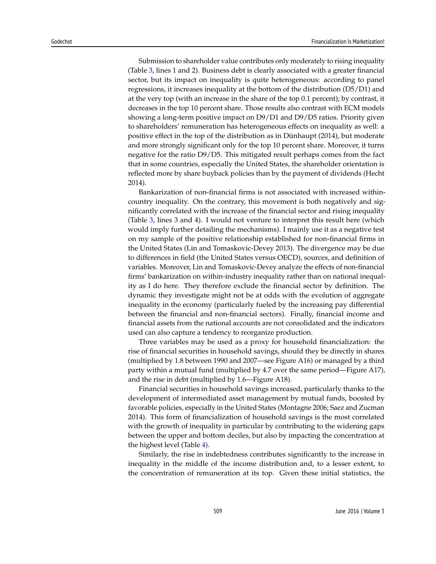Submission to shareholder value contributes only moderately to rising inequality (Table 3, lines 1 and 2). Business debt is clearly associated with a greater financial sector, but its impact on inequality is quite heterogeneous: according to panel regressions, it increases inequality at the bottom of the distribution (D5/D1) and at the very top (with an increase in the share of the top 0.1 percent); by contrast, it decreases in the top 10 percent share. Those results also contrast with ECM models showing a long-term positive impact on D9/D1 and D9/D5 ratios. Priority given to shareholders' remuneration has heterogeneous effects on inequality as well: a positive effect in the top of the distribution as in Dünhaupt (2014), but moderate and more strongly significant only for the top 10 percent share. Moreover, it turns negative for the ratio D9/D5. This mitigated result perhaps comes from the fact that in some countries, especially the United States, the shareholder orientation is reflected more by share buyback policies than by the payment of dividends (Hecht 2014).

Bankarization of non-financial firms is not associated with increased withincountry inequality. On the contrary, this movement is both negatively and significantly correlated with the increase of the financial sector and rising inequality (Table 3, lines 3 and 4). I would not venture to interpret this result here (which would imply further detailing the mechanisms). I mainly use it as a negative test on my sample of the positive relationship established for non-financial firms in the United States (Lin and Tomaskovic-Devey 2013). The divergence may be due to differences in field (the United States versus OECD), sources, and definition of variables. Moreover, Lin and Tomaskovic-Devey analyze the effects of non-financial firms' bankarization on within-industry inequality rather than on national inequality as I do here. They therefore exclude the financial sector by definition. The dynamic they investigate might not be at odds with the evolution of aggregate inequality in the economy (particularly fueled by the increasing pay differential between the financial and non-financial sectors). Finally, financial income and financial assets from the national accounts are not consolidated and the indicators used can also capture a tendency to reorganize production.

Three variables may be used as a proxy for household financialization: the rise of financial securities in household savings, should they be directly in shares (multiplied by 1.8 between 1990 and 2007—see Figure A16) or managed by a third party within a mutual fund (multiplied by 4.7 over the same period—Figure A17), and the rise in debt (multiplied by 1.6—Figure A18).

Financial securities in household savings increased, particularly thanks to the development of intermediated asset management by mutual funds, boosted by favorable policies, especially in the United States (Montagne 2006; Saez and Zucman 2014). This form of financialization of household savings is the most correlated with the growth of inequality in particular by contributing to the widening gaps between the upper and bottom deciles, but also by impacting the concentration at the highest level (Table 4).

Similarly, the rise in indebtedness contributes significantly to the increase in inequality in the middle of the income distribution and, to a lesser extent, to the concentration of remuneration at its top. Given these initial statistics, the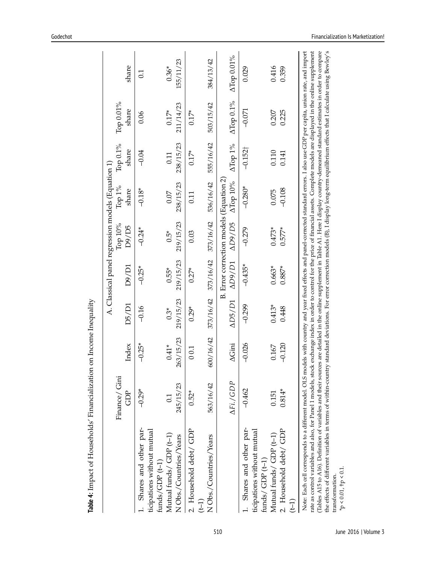|                                                                                                                                                                                                                                                                                                                                                                                                                                                                                                                                                                                                                                                                                                                                                                                                                                    |                      |                    |                |                |                                         | A. Classical panel regression models (Equation 1) |                      |                    |            |
|------------------------------------------------------------------------------------------------------------------------------------------------------------------------------------------------------------------------------------------------------------------------------------------------------------------------------------------------------------------------------------------------------------------------------------------------------------------------------------------------------------------------------------------------------------------------------------------------------------------------------------------------------------------------------------------------------------------------------------------------------------------------------------------------------------------------------------|----------------------|--------------------|----------------|----------------|-----------------------------------------|---------------------------------------------------|----------------------|--------------------|------------|
|                                                                                                                                                                                                                                                                                                                                                                                                                                                                                                                                                                                                                                                                                                                                                                                                                                    | Finance/ Gini<br>GDP | Index              | D5/D1          | D9/D1          | Тор 10%<br>D9/D5                        | Тор 1%<br>share                                   | Top $0.1\%$<br>share | Тор 0.01%<br>share | share      |
| Shares and other par-                                                                                                                                                                                                                                                                                                                                                                                                                                                                                                                                                                                                                                                                                                                                                                                                              | $-0.29*$             | $-0.25*$           | $-0.16$        | $-0.25*$       | $-0.24*$                                | $-0.18*$                                          | $-0.04$              | 0.06               | 0.1        |
| ticipations without mutual<br>funds/GDP $(t-1)$                                                                                                                                                                                                                                                                                                                                                                                                                                                                                                                                                                                                                                                                                                                                                                                    |                      |                    |                |                |                                         |                                                   |                      |                    |            |
| Mutual funds/ $GDP(t-1)$                                                                                                                                                                                                                                                                                                                                                                                                                                                                                                                                                                                                                                                                                                                                                                                                           | $\overline{0}$       | $0.41*$            | $0.3*$         | $0.55*$        | $0.5*$                                  | 0.07                                              | 0.11                 | $0.17*$            | $0.36*$    |
| N Obs./Countries/Years                                                                                                                                                                                                                                                                                                                                                                                                                                                                                                                                                                                                                                                                                                                                                                                                             | 245/15/23            | 263/15/23          | 219/15/23      | 219/15/23      | 219/15/23                               | 238/15/23                                         | 238/15/23            | 211/14/23          | 155/11/23  |
| 2. Household debt/ GDP                                                                                                                                                                                                                                                                                                                                                                                                                                                                                                                                                                                                                                                                                                                                                                                                             | $0.52*$              | 0.01               | $0.29*$        | $0.27*$        | 0.03                                    | 0.11                                              | $0.17*$              | $0.17*$            |            |
| N Obs./Countries/Years<br>$(1-1)$                                                                                                                                                                                                                                                                                                                                                                                                                                                                                                                                                                                                                                                                                                                                                                                                  | 563/16/42            | 600/16/42          | 373/16/42      | 373/16/42      | 373/16/42                               | 536/16/42                                         | 555/16/42            | 503/15/42          | 384/13/42  |
|                                                                                                                                                                                                                                                                                                                                                                                                                                                                                                                                                                                                                                                                                                                                                                                                                                    |                      |                    |                |                | B. Error correction models (Equation 2) |                                                   |                      |                    |            |
|                                                                                                                                                                                                                                                                                                                                                                                                                                                                                                                                                                                                                                                                                                                                                                                                                                    | AFi./GDP             | $\Delta \rm{Gini}$ | $\Delta DS/D1$ | $\Delta D9/D1$ | AD9/D5                                  | <b>ДТор 10%</b>                                   | $\Delta$ Top 1%      | ATop 0.1%          | ATop 0.01% |
| Shares and other par-                                                                                                                                                                                                                                                                                                                                                                                                                                                                                                                                                                                                                                                                                                                                                                                                              | $-0.462$             | $-0.026$           | $-0.299$       | $-0.435*$      | $-0.279$                                | $-0.280*$                                         | $-0.152\dagger$      | $-0.071$           | 0.029      |
| ticipations without mutual<br>funds/ $GDP(t-1)$                                                                                                                                                                                                                                                                                                                                                                                                                                                                                                                                                                                                                                                                                                                                                                                    |                      |                    |                |                |                                         |                                                   |                      |                    |            |
| Mutual funds/ ${\rm GDP}\ (t\hbox{--}1)$                                                                                                                                                                                                                                                                                                                                                                                                                                                                                                                                                                                                                                                                                                                                                                                           | 0.151                | 0.167              | $0.413*$       | $0.663*$       | $0.473*$                                | 0.075                                             | $0.110$<br>$0.141$   | 0.207              | 0.416      |
| 2. Household debt/ GDP<br>$\left( -1\right)$                                                                                                                                                                                                                                                                                                                                                                                                                                                                                                                                                                                                                                                                                                                                                                                       | $0.814*$             | $-0.120$           | 0.448          | $0.887*$       | $0.577*$                                | $-0.108$                                          |                      | 0.225              | 0.359      |
| the effects of different variables in terms of within-country standard deviations. For error correction models (B), I display long-term equilibrium effects that I calculate using Bewley's<br>Note: Each cell corresponds to a different model. OLS models with country and year fixed effects and panel-corrected standard errors. I also use GDP per capita, union rate, and import<br>rate as control variables and also, for Panel 1 models, stock exchange index in order to control for the price of financial assets. Complete models are displayed in the online supplement<br>(Tables A15 to A16). Definition of variables and their sources are detailed in the online supplement in Table A1. Here I display country-demeaned standard estimates in order to compare<br>$*_P < 0.01$ , $+_P < 0.1$ .<br>transformation |                      |                    |                |                |                                         |                                                   |                      |                    |            |
|                                                                                                                                                                                                                                                                                                                                                                                                                                                                                                                                                                                                                                                                                                                                                                                                                                    |                      |                    |                |                |                                         |                                                   |                      |                    |            |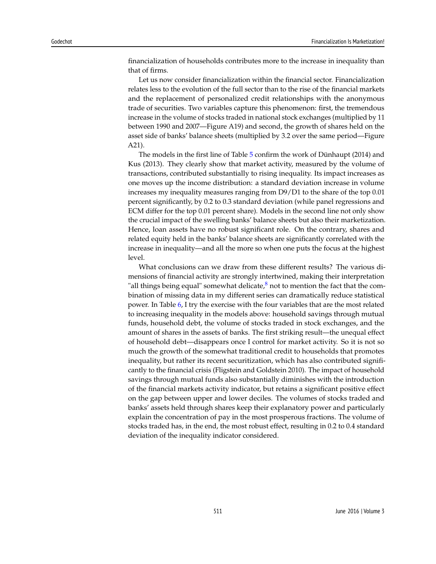financialization of households contributes more to the increase in inequality than that of firms.

Let us now consider financialization within the financial sector. Financialization relates less to the evolution of the full sector than to the rise of the financial markets and the replacement of personalized credit relationships with the anonymous trade of securities. Two variables capture this phenomenon: first, the tremendous increase in the volume of stocks traded in national stock exchanges (multiplied by 11 between 1990 and 2007—Figure A19) and second, the growth of shares held on the asset side of banks' balance sheets (multiplied by 3.2 over the same period—Figure A21).

The models in the first line of Table 5 confirm the work of Dünhaupt (2014) and Kus (2013). They clearly show that market activity, measured by the volume of transactions, contributed substantially to rising inequality. Its impact increases as one moves up the income distribution: a standard deviation increase in volume increases my inequality measures ranging from D9/D1 to the share of the top 0.01 percent significantly, by 0.2 to 0.3 standard deviation (while panel regressions and ECM differ for the top 0.01 percent share). Models in the second line not only show the crucial impact of the swelling banks' balance sheets but also their marketization. Hence, loan assets have no robust significant role. On the contrary, shares and related equity held in the banks' balance sheets are significantly correlated with the increase in inequality—and all the more so when one puts the focus at the highest level.

What conclusions can we draw from these different results? The various dimensions of financial activity are strongly intertwined, making their interpretation "all things being equal" somewhat delicate, $8$  not to mention the fact that the combination of missing data in my different series can dramatically reduce statistical power. In Table 6, I try the exercise with the four variables that are the most related to increasing inequality in the models above: household savings through mutual funds, household debt, the volume of stocks traded in stock exchanges, and the amount of shares in the assets of banks. The first striking result—the unequal effect of household debt—disappears once I control for market activity. So it is not so much the growth of the somewhat traditional credit to households that promotes inequality, but rather its recent securitization, which has also contributed significantly to the financial crisis (Fligstein and Goldstein 2010). The impact of household savings through mutual funds also substantially diminishes with the introduction of the financial markets activity indicator, but retains a significant positive effect on the gap between upper and lower deciles. The volumes of stocks traded and banks' assets held through shares keep their explanatory power and particularly explain the concentration of pay in the most prosperous fractions. The volume of stocks traded has, in the end, the most robust effect, resulting in 0.2 to 0.4 standard deviation of the inequality indicator considered.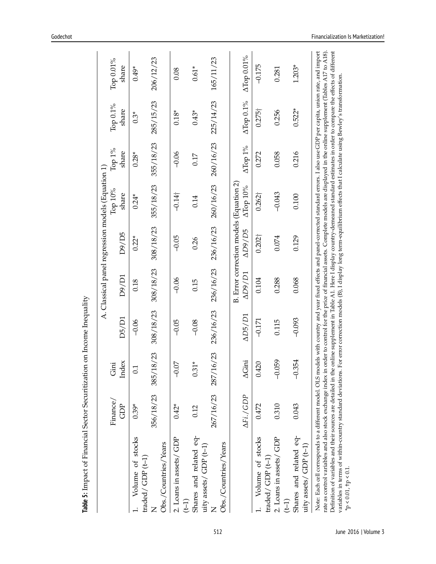|                                                                                                                                                                                                                                                                                                                                                                                      |           |                     |                |                |                                         | A. Classical panel regression models (Equation 1) |           |                |            |
|--------------------------------------------------------------------------------------------------------------------------------------------------------------------------------------------------------------------------------------------------------------------------------------------------------------------------------------------------------------------------------------|-----------|---------------------|----------------|----------------|-----------------------------------------|---------------------------------------------------|-----------|----------------|------------|
|                                                                                                                                                                                                                                                                                                                                                                                      | Finance/  | Gini                |                |                |                                         | Тор 10%                                           | Тор 1%    | Тор 0.1%       | Тор 0.01%  |
|                                                                                                                                                                                                                                                                                                                                                                                      | Ĝ         | Index               | D5/D1          | D9/D1          | D9/D5                                   | share                                             | share     | share          | share      |
| Volume of stocks                                                                                                                                                                                                                                                                                                                                                                     | $0.39*$   | $\overline{0}$      | $-0.06$        | 0.18           | $0.22*$                                 | $0.24*$                                           | $0.28*$   | $0.3*$         | $0.49*$    |
| traded/GDP (t-1)                                                                                                                                                                                                                                                                                                                                                                     |           |                     |                |                |                                         |                                                   |           |                |            |
|                                                                                                                                                                                                                                                                                                                                                                                      | 356/18/23 | 18/23<br>385/       | 308/18/23      | 308/18/23      | 308/18/23                               | 355/18/23                                         | 355/18/23 | 285/15/23      | 206/12/23  |
| Obs./Countries/Years                                                                                                                                                                                                                                                                                                                                                                 |           |                     |                |                |                                         |                                                   |           |                |            |
| 2. Loans in assets/ GDP<br>$(1-1)$                                                                                                                                                                                                                                                                                                                                                   | $0.42*$   | SÓ.<br>P            | $-0.05$        | $-0.06$        | $-0.05$                                 | $-0.14\dagger$                                    | $-0.06$   | $0.18*$        | 0.08       |
|                                                                                                                                                                                                                                                                                                                                                                                      |           |                     |                |                |                                         |                                                   |           |                |            |
| Shares and related eq-<br>uity assets/ $GDP(t-1)$                                                                                                                                                                                                                                                                                                                                    | 0.12      | $0.31*$             | $-0.08$        | 0.15           | 0.26                                    | 0.14                                              | 0.17      | $0.43*$        | $0.61*$    |
|                                                                                                                                                                                                                                                                                                                                                                                      |           | 267/16/23 287/16/23 | 236/16/23      | 236/16/23      | 236/16/23                               | 260/16/23                                         | 260/16/23 | 225/14/23      | 165/11/23  |
| Obs./Countries/Years                                                                                                                                                                                                                                                                                                                                                                 |           |                     |                |                |                                         |                                                   |           |                |            |
|                                                                                                                                                                                                                                                                                                                                                                                      |           |                     |                |                | B. Error correction models (Equation 2) |                                                   |           |                |            |
|                                                                                                                                                                                                                                                                                                                                                                                      | AFi./GDP  | $\Delta$ Gini       | $\Delta DS/D1$ | $\Delta D9/D1$ | $\Delta D9/D5$                          | ATop 10%                                          | ATop 1%   | ATop 0.1%      | ATop 0.01% |
| Volume of stocks                                                                                                                                                                                                                                                                                                                                                                     | 0.472     | 0.420               | $-0.171$       | 0.104          | $0.202\dagger$                          | $0.262\dagger$                                    | 0.272     | $0.275\dagger$ | $-0.175$   |
| traded/ $GDP$ ( $t-1$ )                                                                                                                                                                                                                                                                                                                                                              |           |                     |                |                |                                         |                                                   |           |                |            |
| 2. Loans in assets/ GDP                                                                                                                                                                                                                                                                                                                                                              | 0.310     | $-0.059$            | 0.115          | 0.288          | 0.074                                   | $-0.043$                                          | 0.058     | 0.256          | 0.281      |
| $(1-1)$                                                                                                                                                                                                                                                                                                                                                                              |           |                     |                |                |                                         |                                                   |           |                |            |
| Shares and related eq-                                                                                                                                                                                                                                                                                                                                                               | 0.043     | $-0.354$            | $-0.093$       | 0.068          | 0.129                                   | 0.100                                             | 0.216     | $0.522*$       | $1.203*$   |
| uity assets/ $GDP$ ( $t-1$ )                                                                                                                                                                                                                                                                                                                                                         |           |                     |                |                |                                         |                                                   |           |                |            |
| Note: Each cell corresponds to a different model. OLS models with country and year fixed effects and panel-corrected standard errors. I also use GDP per capita, union rate, and import<br>rate as control variables and also stock exchange index in order to control for the price of financial assets. Complete models are displayed in the online supplement (Tables A17 to A18) |           |                     |                |                |                                         |                                                   |           |                |            |
| Definition of variables and their sources are detailed in the online supplement in Table A1. Here I display country-demeaned standard estimates in order to compare the effects of different<br>variables in terms of within-country standard deviations. For error correction models (B), I display long term-equilibrium effects that I calculate using Bewley's transformation.   |           |                     |                |                |                                         |                                                   |           |                |            |
| $*_{\text{P}} < 0.01, \, \text{tp} < 0.1$                                                                                                                                                                                                                                                                                                                                            |           |                     |                |                |                                         |                                                   |           |                |            |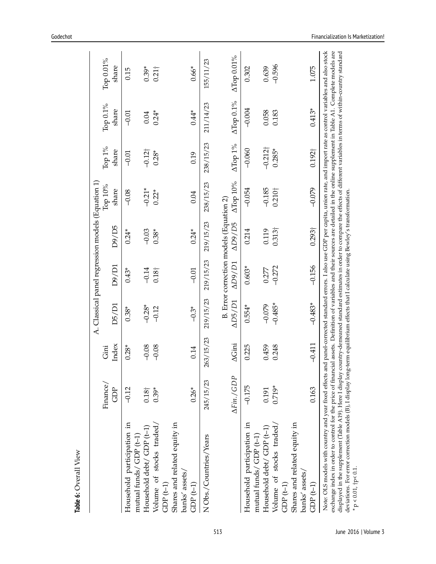|                                                                   |               |               |                |                | A. Classical panel regression models (Equation 1) |                           |                          |           |               |
|-------------------------------------------------------------------|---------------|---------------|----------------|----------------|---------------------------------------------------|---------------------------|--------------------------|-----------|---------------|
|                                                                   | Finance/      | Gini          |                |                |                                                   | Тор 10%                   | Top $1\%$                | Тор 0.1%  | Тор 0.01%     |
|                                                                   | ĜD            | Index         | D5/D1          | D9/D1          | D9/D5                                             | share                     | share                    | share     | share         |
| Household participation in                                        | $-0.12$       | $0.28*$       | $0.38*$        | $0.43*$        | $0.24*$                                           | $-0.08$                   | $-0.01$                  | $-0.01$   | 0.15          |
| Household debt/ GDP (t-1)<br>mutual funds/GDP (t-1)               | $0.18\dagger$ | $-0.08$       | $-0.28*$       | $-0.14$        | $-0.03$                                           | $-0.21*$                  | $-0.12$                  | 0.04      | $0.39*$       |
| Volume of stocks traded/<br>$GDP(t-1)$                            | $0.39*$       | $-0.08$       | $-0.12$        | $0.18\dagger$  | $0.38*$                                           | $0.22*$                   | $0.28*$                  | $0.24*$   | $0.21\dagger$ |
| Shares and related equity in<br>banks' assets/                    |               |               |                |                |                                                   |                           |                          |           |               |
| $GDP(t-1)$                                                        | $0.26*$       | 0.14          | $-0.3*$        | $-0.01$        | $0.24*$                                           | 0.04                      | 0.19                     | $0.44*$   | $0.66*$       |
| N Obs./Countries/Years                                            | 245/15/23     | 263/15/23     | 219/15/23      | 219/15/23      | 219/15/23                                         | 238/15/23                 | 238/15/23                | 211/14/23 | 155/11/23     |
|                                                                   |               |               |                |                | B. Error correction models (Equation 2)           |                           |                          |           |               |
|                                                                   | AFin./GDP     | $\Delta$ Gini | $\Delta$ D5/D1 | $\Delta D9/D1$ | AD9/D5                                            | $\Delta {\rm Top}$ $10\%$ | $\Delta \mathrm{Top}$ 1% | ATop 0.1% | ATop 0.01%    |
| Household participation in<br>mutual funds $\angle$ GDP ( $t-1$ ) | $-0.175$      | 0.225         | $0.554*$       | $0.603*$       | 0.214                                             | $-0.054$                  | $-0.060$                 | $-0.004$  | 0.302         |
| Household debt/GDP (t-1)                                          | 0.191         | 0.459         | $-0.079$       | 0.277          | 0.119                                             | $-0.185$                  | $-0.212$ <sup>+</sup>    | 0.058     | 0.639         |
| Volume of stocks traded/                                          | $0.719*$      | 0.248         | $-0.485*$      | $-0.272$       | $0.313\dagger$                                    | 0.210 <sup>†</sup>        | $0.285*$                 | 0.183     | $-0.596$      |
| Shares and related equity in<br>$GDP(t-1)$                        |               |               |                |                |                                                   |                           |                          |           |               |
| banks' assets/<br>$GDP(t-1)$                                      | 0.163         | $-0.411$      | $-0.483*$      | $-0.156$       | 0.293 <sup>†</sup>                                | $-0.079$                  | 0.192 <sup>†</sup>       | $0.413*$  | 1.075         |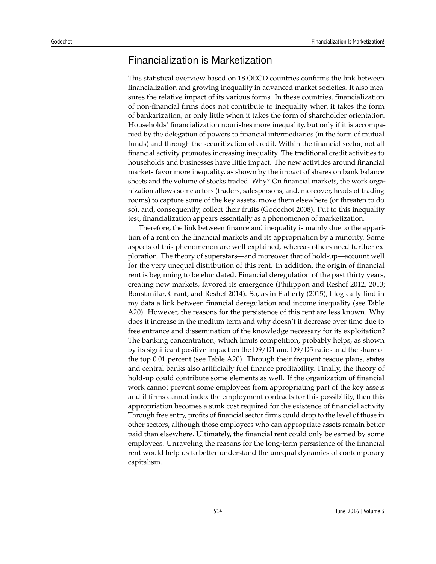## Financialization is Marketization

This statistical overview based on 18 OECD countries confirms the link between financialization and growing inequality in advanced market societies. It also measures the relative impact of its various forms. In these countries, financialization of non-financial firms does not contribute to inequality when it takes the form of bankarization, or only little when it takes the form of shareholder orientation. Households' financialization nourishes more inequality, but only if it is accompanied by the delegation of powers to financial intermediaries (in the form of mutual funds) and through the securitization of credit. Within the financial sector, not all financial activity promotes increasing inequality. The traditional credit activities to households and businesses have little impact. The new activities around financial markets favor more inequality, as shown by the impact of shares on bank balance sheets and the volume of stocks traded. Why? On financial markets, the work organization allows some actors (traders, salespersons, and, moreover, heads of trading rooms) to capture some of the key assets, move them elsewhere (or threaten to do so), and, consequently, collect their fruits (Godechot 2008). Put to this inequality test, financialization appears essentially as a phenomenon of marketization.

Therefore, the link between finance and inequality is mainly due to the apparition of a rent on the financial markets and its appropriation by a minority. Some aspects of this phenomenon are well explained, whereas others need further exploration. The theory of superstars—and moreover that of hold-up—account well for the very unequal distribution of this rent. In addition, the origin of financial rent is beginning to be elucidated. Financial deregulation of the past thirty years, creating new markets, favored its emergence (Philippon and Reshef 2012, 2013; Boustanifar, Grant, and Reshef 2014). So, as in Flaherty (2015), I logically find in my data a link between financial deregulation and income inequality (see Table A20). However, the reasons for the persistence of this rent are less known. Why does it increase in the medium term and why doesn't it decrease over time due to free entrance and dissemination of the knowledge necessary for its exploitation? The banking concentration, which limits competition, probably helps, as shown by its significant positive impact on the D9/D1 and D9/D5 ratios and the share of the top 0.01 percent (see Table A20). Through their frequent rescue plans, states and central banks also artificially fuel finance profitability. Finally, the theory of hold-up could contribute some elements as well. If the organization of financial work cannot prevent some employees from appropriating part of the key assets and if firms cannot index the employment contracts for this possibility, then this appropriation becomes a sunk cost required for the existence of financial activity. Through free entry, profits of financial sector firms could drop to the level of those in other sectors, although those employees who can appropriate assets remain better paid than elsewhere. Ultimately, the financial rent could only be earned by some employees. Unraveling the reasons for the long-term persistence of the financial rent would help us to better understand the unequal dynamics of contemporary capitalism.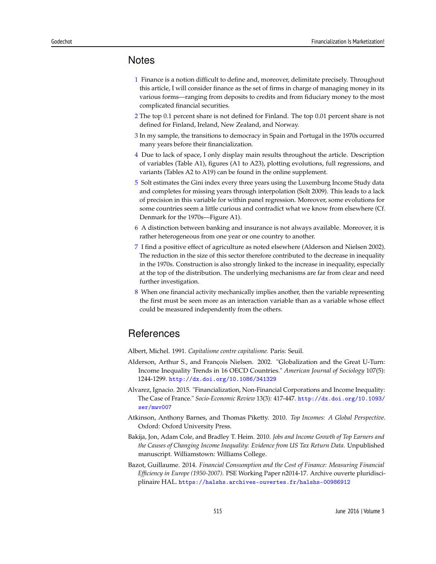#### **Notes**

- 1 Finance is a notion difficult to define and, moreover, delimitate precisely. Throughout this article, I will consider finance as the set of firms in charge of managing money in its various forms—ranging from deposits to credits and from fiduciary money to the most complicated financial securities.
- 2 The top 0.1 percent share is not defined for Finland. The top 0.01 percent share is not defined for Finland, Ireland, New Zealand, and Norway.
- 3 In my sample, the transitions to democracy in Spain and Portugal in the 1970s occurred many years before their financialization.
- 4 Due to lack of space, I only display main results throughout the article. Description of variables (Table A1), figures (A1 to A23), plotting evolutions, full regressions, and variants (Tables A2 to A19) can be found in the online supplement.
- 5 Solt estimates the Gini index every three years using the Luxemburg Income Study data and completes for missing years through interpolation (Solt 2009). This leads to a lack of precision in this variable for within panel regression. Moreover, some evolutions for some countries seem a little curious and contradict what we know from elsewhere (Cf. Denmark for the 1970s—Figure A1).
- 6 A distinction between banking and insurance is not always available. Moreover, it is rather heterogeneous from one year or one country to another.
- 7 I find a positive effect of agriculture as noted elsewhere (Alderson and Nielsen 2002). The reduction in the size of this sector therefore contributed to the decrease in inequality in the 1970s. Construction is also strongly linked to the increase in inequality, especially at the top of the distribution. The underlying mechanisms are far from clear and need further investigation.
- 8 When one financial activity mechanically implies another, then the variable representing the first must be seen more as an interaction variable than as a variable whose effect could be measured independently from the others.

### **References**

Albert, Michel. 1991. *Capitalisme contre capitalisme.* Paris: Seuil.

- Alderson, Arthur S., and François Nielsen. 2002. "Globalization and the Great U-Turn: Income Inequality Trends in 16 OECD Countries." *American Journal of Sociology* 107(5): 1244-1299. <http://dx.doi.org/10.1086/341329>
- Alvarez, Ignacio. 2015. "Financialization, Non-Financial Corporations and Income Inequality: The Case of France." *Socio-Economic Review* 13(3): 417-447. [http://dx.doi.org/10.1093/](http://dx.doi.org/10.1093/ser/mwv007) [ser/mwv007](http://dx.doi.org/10.1093/ser/mwv007)
- Atkinson, Anthony Barnes, and Thomas Piketty. 2010. *Top Incomes: A Global Perspective*. Oxford: Oxford University Press.
- Bakija, Jon, Adam Cole, and Bradley T. Heim. 2010. *Jobs and Income Growth of Top Earners and the Causes of Changing Income Inequality: Evidence from US Tax Return Data.* Unpublished manuscript. Williamstown: Williams College.
- Bazot, Guillaume. 2014. *Financial Consumption and the Cost of Finance: Measuring Financial Efficiency in Europe (1950-2007).* PSE Working Paper n2014-17. Archive ouverte pluridisciplinaire HAL. <https://halshs.archives-ouvertes.fr/halshs-00986912>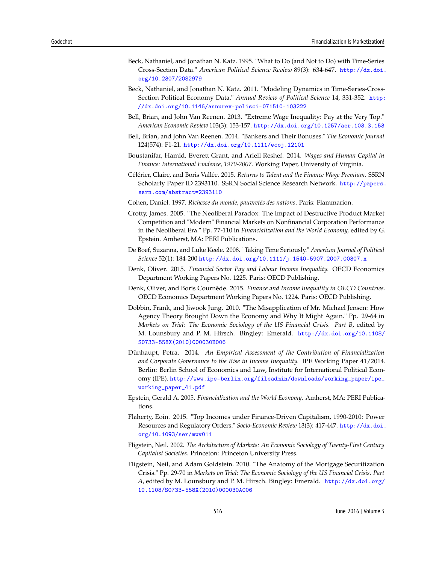- Beck, Nathaniel, and Jonathan N. Katz. 1995. "What to Do (and Not to Do) with Time-Series Cross-Section Data." *American Political Science Review* 89(3): 634-647. [http://dx.doi.](http://dx.doi.org/10.2307/2082979) [org/10.2307/2082979](http://dx.doi.org/10.2307/2082979)
- Beck, Nathaniel, and Jonathan N. Katz. 2011. "Modeling Dynamics in Time-Series-Cross-Section Political Economy Data." *Annual Review of Political Science* 14, 331-352. [http:](http://dx.doi.org/10.1146/annurev-polisci-071510-103222) [//dx.doi.org/10.1146/annurev-polisci-071510-103222](http://dx.doi.org/10.1146/annurev-polisci-071510-103222)
- Bell, Brian, and John Van Reenen. 2013. "Extreme Wage Inequality: Pay at the Very Top." *American Economic Review* 103(3): 153-157. <http://dx.doi.org/10.1257/aer.103.3.153>
- Bell, Brian, and John Van Reenen. 2014. "Bankers and Their Bonuses." *The Economic Journal* 124(574): F1-21. <http://dx.doi.org/10.1111/ecoj.12101>
- Boustanifar, Hamid, Everett Grant, and Ariell Reshef. 2014. *Wages and Human Capital in Finance: International Evidence, 1970-2007.* Working Paper, University of Virginia.
- Célérier, Claire, and Boris Vallée. 2015. *Returns to Talent and the Finance Wage Premium.* SSRN Scholarly Paper ID 2393110. SSRN Social Science Research Network. [http://papers.](http://papers.ssrn.com/abstract=2393110) [ssrn.com/abstract=2393110](http://papers.ssrn.com/abstract=2393110)
- Cohen, Daniel. 1997. *Richesse du monde, pauvretés des nations*. Paris: Flammarion.
- Crotty, James. 2005. "The Neoliberal Paradox: The Impact of Destructive Product Market Competition and "Modern" Financial Markets on Nonfinancial Corporation Performance in the Neoliberal Era." Pp. 77-110 in *Financialization and the World Economy,* edited by G. Epstein. Amherst, MA: PERI Publications.
- De Boef, Suzanna, and Luke Keele. 2008. "Taking Time Seriously." *American Journal of Political Science* 52(1): 184-200 <http://dx.doi.org/10.1111/j.1540-5907.2007.00307.x>
- Denk, Oliver. 2015. *Financial Sector Pay and Labour Income Inequality.* OECD Economics Department Working Papers No. 1225. Paris: OECD Publishing.
- Denk, Oliver, and Boris Cournède. 2015. *Finance and Income Inequality in OECD Countries.* OECD Economics Department Working Papers No. 1224. Paris: OECD Publishing.
- Dobbin, Frank, and Jiwook Jung. 2010. "The Misapplication of Mr. Michael Jensen: How Agency Theory Brought Down the Economy and Why It Might Again." Pp. 29-64 in *Markets on Trial: The Economic Sociology of the US Financial Crisis. Part B, edited by* M. Lounsbury and P. M. Hirsch. Bingley: Emerald. [http://dx.doi.org/10.1108/](http://dx.doi.org/10.1108/S0733-558X(2010)000030B006) [S0733-558X\(2010\)000030B006](http://dx.doi.org/10.1108/S0733-558X(2010)000030B006)
- Dünhaupt, Petra. 2014. *An Empirical Assessment of the Contribution of Financialization and Corporate Governance to the Rise in Income Inequality.* IPE Working Paper 41/2014. Berlin: Berlin School of Economics and Law, Institute for International Political Economy (IPE). [http://www.ipe-berlin.org/fileadmin/downloads/working\\_paper/ipe\\_](http://www.ipe-berlin.org/fileadmin/downloads/working_paper/ipe_working_paper_41.pdf) [working\\_paper\\_41.pdf](http://www.ipe-berlin.org/fileadmin/downloads/working_paper/ipe_working_paper_41.pdf)
- Epstein, Gerald A. 2005. *Financialization and the World Economy*. Amherst, MA: PERI Publications.
- Flaherty, Eoin. 2015. "Top Incomes under Finance-Driven Capitalism, 1990-2010: Power Resources and Regulatory Orders." *Socio-Economic Review* 13(3): 417-447. [http://dx.doi.](http://dx.doi.org/10.1093/ser/mwv011) [org/10.1093/ser/mwv011](http://dx.doi.org/10.1093/ser/mwv011)
- Fligstein, Neil. 2002. *The Architecture of Markets: An Economic Sociology of Twenty-First Century Capitalist Societies*. Princeton: Princeton University Press.
- Fligstein, Neil, and Adam Goldstein. 2010. "The Anatomy of the Mortgage Securitization Crisis." Pp. 29-70 in *Markets on Trial: The Economic Sociology of the US Financial Crisis*. *Part A*, edited by M. Lounsbury and P. M. Hirsch. Bingley: Emerald. [http://dx.doi.org/](http://dx.doi.org/10.1108/S0733-558X(2010)000030A006) [10.1108/S0733-558X\(2010\)000030A006](http://dx.doi.org/10.1108/S0733-558X(2010)000030A006)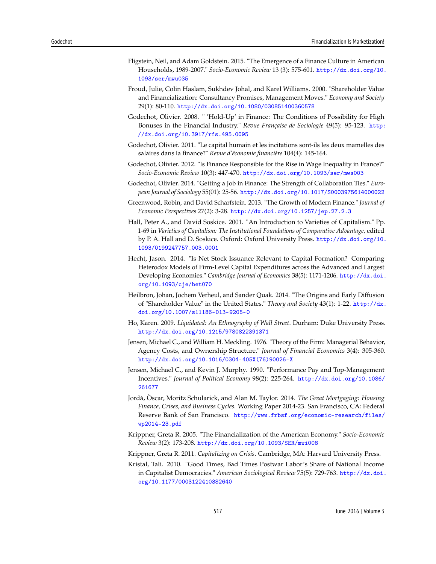- Fligstein, Neil, and Adam Goldstein. 2015. "The Emergence of a Finance Culture in American Households, 1989-2007." *Socio-Economic Review* 13 (3): 575-601. [http://dx.doi.org/10.](http://dx.doi.org/10.1093/ser/mwu035) [1093/ser/mwu035](http://dx.doi.org/10.1093/ser/mwu035)
- Froud, Julie, Colin Haslam, Sukhdev Johal, and Karel Williams. 2000. "Shareholder Value and Financialization: Consultancy Promises, Management Moves." *Economy and Society* 29(1): 80-110. <http://dx.doi.org/10.1080/030851400360578>
- Godechot, Olivier. 2008. " 'Hold-Up' in Finance: The Conditions of Possibility for High Bonuses in the Financial Industry." *Revue Française de Sociologie* 49(5): 95-123. [http:](http://dx.doi.org/10.3917/rfs.495.0095) [//dx.doi.org/10.3917/rfs.495.0095](http://dx.doi.org/10.3917/rfs.495.0095)
- Godechot, Olivier. 2011. "Le capital humain et les incitations sont-ils les deux mamelles des salaires dans la finance?" *Revue d'économie financière* 104(4): 145-164.
- Godechot, Olivier. 2012. "Is Finance Responsible for the Rise in Wage Inequality in France?" *Socio-Economic Review* 10(3): 447-470. <http://dx.doi.org/10.1093/ser/mws003>
- Godechot, Olivier. 2014. "Getting a Job in Finance: The Strength of Collaboration Ties." *European Journal of Sociology* 55(01): 25-56. <http://dx.doi.org/10.1017/S0003975614000022>
- Greenwood, Robin, and David Scharfstein. 2013. "The Growth of Modern Finance." *Journal of Economic Perspectives* 27(2): 3-28. <http://dx.doi.org/10.1257/jep.27.2.3>
- Hall, Peter A., and David Soskice. 2001. "An Introduction to Varieties of Capitalism." Pp. 1-69 in *Varieties of Capitalism: The Institutional Foundations of Comparative Advantage,* edited by P. A. Hall and D. Soskice. Oxford: Oxford University Press. [http://dx.doi.org/10.](http://dx.doi.org/10.1093/0199247757.003.0001) [1093/0199247757.003.0001](http://dx.doi.org/10.1093/0199247757.003.0001)
- Hecht, Jason. 2014. "Is Net Stock Issuance Relevant to Capital Formation? Comparing Heterodox Models of Firm-Level Capital Expenditures across the Advanced and Largest Developing Economies." *Cambridge Journal of Economics* 38(5): 1171-1206. [http://dx.doi.](http://dx.doi.org/10.1093/cje/bet070) [org/10.1093/cje/bet070](http://dx.doi.org/10.1093/cje/bet070)
- Heilbron, Johan, Jochem Verheul, and Sander Quak. 2014. "The Origins and Early Diffusion of "Shareholder Value" in the United States." *Theory and Society* 43(1): 1-22. [http://dx.](http://dx.doi.org/10.1007/s11186-013-9205-0) [doi.org/10.1007/s11186-013-9205-0](http://dx.doi.org/10.1007/s11186-013-9205-0)
- Ho, Karen. 2009. *Liquidated: An Ethnography of Wall Street*. Durham: Duke University Press. <http://dx.doi.org/10.1215/9780822391371>
- Jensen, Michael C., and William H. Meckling. 1976. "Theory of the Firm: Managerial Behavior, Agency Costs, and Ownership Structure." *Journal of Financial Economics* 3(4): 305-360. [http://dx.doi.org/10.1016/0304-405X\(76\)90026-X](http://dx.doi.org/10.1016/0304-405X(76)90026-X)
- Jensen, Michael C., and Kevin J. Murphy. 1990. "Performance Pay and Top-Management Incentives." *Journal of Political Economy* 98(2): 225-264. [http://dx.doi.org/10.1086/](http://dx.doi.org/10.1086/261677) [261677](http://dx.doi.org/10.1086/261677)
- Jordà, Òscar, Moritz Schularick, and Alan M. Taylor. 2014. *The Great Mortgaging: Housing Finance, Crises, and Business Cycles.* Working Paper 2014-23. San Francisco, CA: Federal Reserve Bank of San Francisco. [http://www.frbsf.org/economic-research/files/](http://www.frbsf.org/economic-research/files/wp2014-23.pdf) [wp2014-23.pdf](http://www.frbsf.org/economic-research/files/wp2014-23.pdf)
- Krippner, Greta R. 2005. "The Financialization of the American Economy." *Socio-Economic Review* 3(2): 173-208. <http://dx.doi.org/10.1093/SER/mwi008>
- Krippner, Greta R. 2011. *Capitalizing on Crisis*. Cambridge, MA: Harvard University Press.
- Kristal, Tali. 2010. "Good Times, Bad Times Postwar Labor's Share of National Income in Capitalist Democracies." *American Sociological Review* 75(5): 729-763. [http://dx.doi.](http://dx.doi.org/10.1177/0003122410382640) [org/10.1177/0003122410382640](http://dx.doi.org/10.1177/0003122410382640)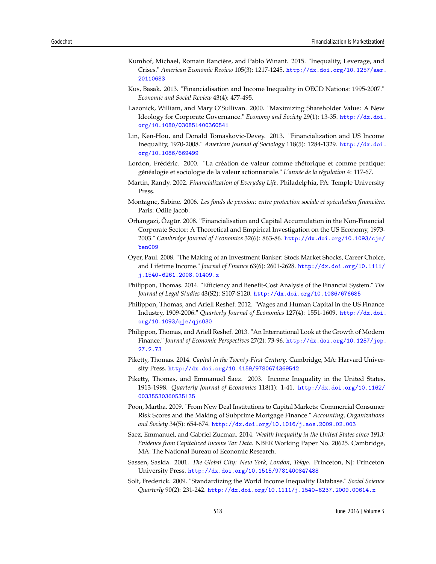- Kumhof, Michael, Romain Rancière, and Pablo Winant. 2015. "Inequality, Leverage, and Crises." *American Economic Review* 105(3): 1217-1245. [http://dx.doi.org/10.1257/aer.](http://dx.doi.org/10.1257/aer.20110683) [20110683](http://dx.doi.org/10.1257/aer.20110683)
- Kus, Basak. 2013. "Financialisation and Income Inequality in OECD Nations: 1995-2007." *Economic and Social Review* 43(4): 477-495.
- Lazonick, William, and Mary O'Sullivan. 2000. "Maximizing Shareholder Value: A New Ideology for Corporate Governance." *Economy and Society* 29(1): 13-35. [http://dx.doi.](http://dx.doi.org/10.1080/030851400360541) [org/10.1080/030851400360541](http://dx.doi.org/10.1080/030851400360541)
- Lin, Ken-Hou, and Donald Tomaskovic-Devey. 2013. "Financialization and US Income Inequality, 1970-2008." *American Journal of Sociology* 118(5): 1284-1329. [http://dx.doi.](http://dx.doi.org/10.1086/669499) [org/10.1086/669499](http://dx.doi.org/10.1086/669499)
- Lordon, Frédéric. 2000. "La création de valeur comme rhétorique et comme pratique: généalogie et sociologie de la valeur actionnariale." *L'année de la régulation* 4: 117-67.
- Martin, Randy. 2002. *Financialization of Everyday Life*. Philadelphia, PA: Temple University Press.
- Montagne, Sabine. 2006. *Les fonds de pension: entre protection sociale et spéculation financière*. Paris: Odile Jacob.
- Orhangazi, Özgür. 2008. "Financialisation and Capital Accumulation in the Non-Financial Corporate Sector: A Theoretical and Empirical Investigation on the US Economy, 1973- 2003." *Cambridge Journal of Economics* 32(6): 863-86. [http://dx.doi.org/10.1093/cje/](http://dx.doi.org/10.1093/cje/ben009) [ben009](http://dx.doi.org/10.1093/cje/ben009)
- Oyer, Paul. 2008. "The Making of an Investment Banker: Stock Market Shocks, Career Choice, and Lifetime Income." *Journal of Finance* 63(6): 2601-2628. [http://dx.doi.org/10.1111/](http://dx.doi.org/10.1111/j.1540-6261.2008.01409.x) [j.1540-6261.2008.01409.x](http://dx.doi.org/10.1111/j.1540-6261.2008.01409.x)
- Philippon, Thomas. 2014. "Efficiency and Benefit-Cost Analysis of the Financial System." *The Journal of Legal Studies* 43(S2): S107-S120. <http://dx.doi.org/10.1086/676685>
- Philippon, Thomas, and Ariell Reshef. 2012. "Wages and Human Capital in the US Finance Industry, 1909-2006." *Quarterly Journal of Economics* 127(4): 1551-1609. [http://dx.doi.](http://dx.doi.org/10.1093/qje/qjs030) [org/10.1093/qje/qjs030](http://dx.doi.org/10.1093/qje/qjs030)
- Philippon, Thomas, and Ariell Reshef. 2013. "An International Look at the Growth of Modern Finance." *Journal of Economic Perspectives* 27(2): 73-96. [http://dx.doi.org/10.1257/jep.](http://dx.doi.org/10.1257/jep.27.2.73) [27.2.73](http://dx.doi.org/10.1257/jep.27.2.73)
- Piketty, Thomas. 2014. *Capital in the Twenty-First Century*. Cambridge, MA: Harvard University Press. <http://dx.doi.org/10.4159/9780674369542>
- Piketty, Thomas, and Emmanuel Saez. 2003. Income Inequality in the United States, 1913-1998. *Quarterly Journal of Economics* 118(1): 1-41. [http://dx.doi.org/10.1162/](http://dx.doi.org/10.1162/00335530360535135) [00335530360535135](http://dx.doi.org/10.1162/00335530360535135)
- Poon, Martha. 2009. "From New Deal Institutions to Capital Markets: Commercial Consumer Risk Scores and the Making of Subprime Mortgage Finance." *Accounting, Organizations and Society* 34(5): 654-674. <http://dx.doi.org/10.1016/j.aos.2009.02.003>
- Saez, Emmanuel, and Gabriel Zucman. 2014. *Wealth Inequality in the United States since 1913: Evidence from Capitalized Income Tax Data.* NBER Working Paper No. 20625. Cambridge, MA: The National Bureau of Economic Research.
- Sassen, Saskia. 2001. *The Global City: New York, London, Tokyo*. Princeton, NJ: Princeton University Press. <http://dx.doi.org/10.1515/9781400847488>
- Solt, Frederick. 2009. "Standardizing the World Income Inequality Database." *Social Science Quarterly* 90(2): 231-242. <http://dx.doi.org/10.1111/j.1540-6237.2009.00614.x>